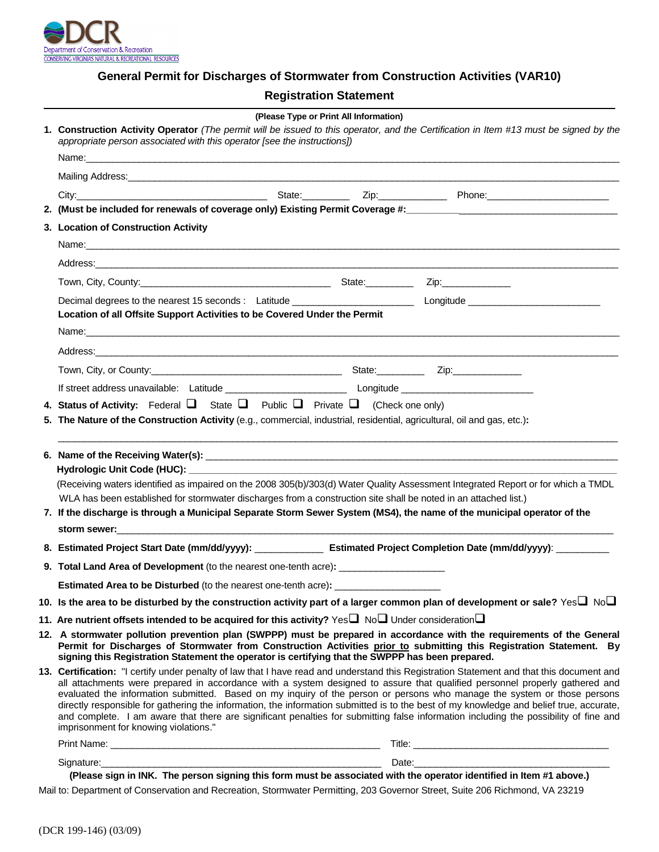

# **General Permit for Discharges of Stormwater from Construction Activities (VAR10)**

# **Registration Statement**

|  | (Please Type or Print All Information)                                                                                                                                                                                                                                                                                                                                                                                                                                                                                                                                                                                                                                                                                           |  |
|--|----------------------------------------------------------------------------------------------------------------------------------------------------------------------------------------------------------------------------------------------------------------------------------------------------------------------------------------------------------------------------------------------------------------------------------------------------------------------------------------------------------------------------------------------------------------------------------------------------------------------------------------------------------------------------------------------------------------------------------|--|
|  | 1. Construction Activity Operator (The permit will be issued to this operator, and the Certification in Item #13 must be signed by the<br>appropriate person associated with this operator [see the instructions])                                                                                                                                                                                                                                                                                                                                                                                                                                                                                                               |  |
|  |                                                                                                                                                                                                                                                                                                                                                                                                                                                                                                                                                                                                                                                                                                                                  |  |
|  |                                                                                                                                                                                                                                                                                                                                                                                                                                                                                                                                                                                                                                                                                                                                  |  |
|  |                                                                                                                                                                                                                                                                                                                                                                                                                                                                                                                                                                                                                                                                                                                                  |  |
|  |                                                                                                                                                                                                                                                                                                                                                                                                                                                                                                                                                                                                                                                                                                                                  |  |
|  | 3. Location of Construction Activity                                                                                                                                                                                                                                                                                                                                                                                                                                                                                                                                                                                                                                                                                             |  |
|  |                                                                                                                                                                                                                                                                                                                                                                                                                                                                                                                                                                                                                                                                                                                                  |  |
|  |                                                                                                                                                                                                                                                                                                                                                                                                                                                                                                                                                                                                                                                                                                                                  |  |
|  |                                                                                                                                                                                                                                                                                                                                                                                                                                                                                                                                                                                                                                                                                                                                  |  |
|  | Location of all Offsite Support Activities to be Covered Under the Permit                                                                                                                                                                                                                                                                                                                                                                                                                                                                                                                                                                                                                                                        |  |
|  |                                                                                                                                                                                                                                                                                                                                                                                                                                                                                                                                                                                                                                                                                                                                  |  |
|  |                                                                                                                                                                                                                                                                                                                                                                                                                                                                                                                                                                                                                                                                                                                                  |  |
|  |                                                                                                                                                                                                                                                                                                                                                                                                                                                                                                                                                                                                                                                                                                                                  |  |
|  |                                                                                                                                                                                                                                                                                                                                                                                                                                                                                                                                                                                                                                                                                                                                  |  |
|  | 5. The Nature of the Construction Activity (e.g., commercial, industrial, residential, agricultural, oil and gas, etc.):                                                                                                                                                                                                                                                                                                                                                                                                                                                                                                                                                                                                         |  |
|  | (Receiving waters identified as impaired on the 2008 305(b)/303(d) Water Quality Assessment Integrated Report or for which a TMDL<br>WLA has been established for stormwater discharges from a construction site shall be noted in an attached list.)<br>7. If the discharge is through a Municipal Separate Storm Sewer System (MS4), the name of the municipal operator of the                                                                                                                                                                                                                                                                                                                                                 |  |
|  | 8. Estimated Project Start Date (mm/dd/yyyy): ________________ Estimated Project Completion Date (mm/dd/yyyy): ________                                                                                                                                                                                                                                                                                                                                                                                                                                                                                                                                                                                                          |  |
|  | 9. Total Land Area of Development (to the nearest one-tenth acre): ______________                                                                                                                                                                                                                                                                                                                                                                                                                                                                                                                                                                                                                                                |  |
|  | <b>Estimated Area to be Disturbed</b> (to the nearest one-tenth acre): ________________                                                                                                                                                                                                                                                                                                                                                                                                                                                                                                                                                                                                                                          |  |
|  | 10. Is the area to be disturbed by the construction activity part of a larger common plan of development or sale? $\gamma$ es $\Box$ No $\Box$                                                                                                                                                                                                                                                                                                                                                                                                                                                                                                                                                                                   |  |
|  | 11. Are nutrient offsets intended to be acquired for this activity? Yes $\square$ No $\square$ Under consideration $\square$                                                                                                                                                                                                                                                                                                                                                                                                                                                                                                                                                                                                     |  |
|  | 12. A stormwater pollution prevention plan (SWPPP) must be prepared in accordance with the requirements of the General<br>Permit for Discharges of Stormwater from Construction Activities prior to submitting this Registration Statement. By<br>signing this Registration Statement the operator is certifying that the SWPPP has been prepared.                                                                                                                                                                                                                                                                                                                                                                               |  |
|  | 13. Certification: "I certify under penalty of law that I have read and understand this Registration Statement and that this document and<br>all attachments were prepared in accordance with a system designed to assure that qualified personnel properly gathered and<br>evaluated the information submitted. Based on my inquiry of the person or persons who manage the system or those persons<br>directly responsible for gathering the information, the information submitted is to the best of my knowledge and belief true, accurate,<br>and complete. I am aware that there are significant penalties for submitting false information including the possibility of fine and<br>imprisonment for knowing violations." |  |
|  |                                                                                                                                                                                                                                                                                                                                                                                                                                                                                                                                                                                                                                                                                                                                  |  |

Mail to: Department of Conservation and Recreation, Stormwater Permitting, 203 Governor Street, Suite 206 Richmond, VA 23219